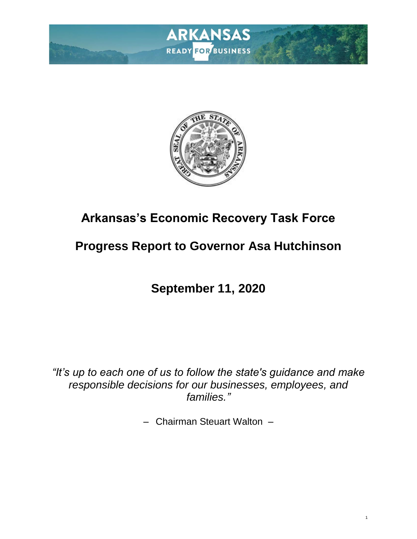



# **Arkansas's Economic Recovery Task Force**

# **Progress Report to Governor Asa Hutchinson**

# **September 11, 2020**

*"It's up to each one of us to follow the state's guidance and make responsible decisions for our businesses, employees, and families."*

– Chairman Steuart Walton –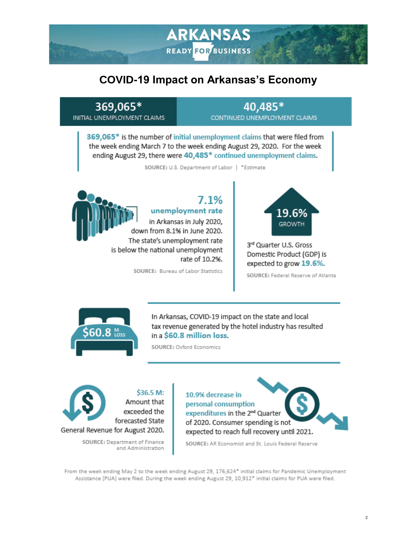## **COVID-19 Impact on Arkansas's Economy**

**ARKANSAS** 

**READY FOR BUSINESS** 

#### 369,065\* INITIAL UNEMPLOYMENT CLAIMS

#### 40,485\* CONTINUED UNEMPLOYMENT CLAIMS

369,065\* is the number of initial unemployment claims that were filed from the week ending March 7 to the week ending August 29, 2020. For the week ending August 29, there were 40,485\* continued unemployment claims.

SOURCE: U.S. Department of Labor | \*Estimate



### $7.1%$ unemployment rate

in Arkansas in July 2020, down from 8.1% in June 2020. The state's unemployment rate is below the national unemployment rate of 10.2%.

SOURCE: Bureau of Labor Statistics



3rd Quarter U.S. Gross Domestic Product (GDP) is expected to grow 19.6%.

SOURCE: Federal Reserve of Atlanta



In Arkansas, COVID-19 impact on the state and local tax revenue generated by the hotel industry has resulted in a \$60.8 million loss.

SOURCE: Oxford Economics

\$36.5 M: Amount that exceeded the forecasted State General Revenue for August 2020.

> SOURCE: Department of Finance and Administration

10.9% decrease in personal consumption expenditures in the 2<sup>nd</sup> Quarter of 2020. Consumer spending is not expected to reach full recovery until 2021.

SOURCE: AR Economist and St. Louis Federal Reserve

From the week ending May 2 to the week ending August 29, 176,624\* initial claims for Pandemic Unemployment Assistance (PUA) were filed. During the week ending August 29, 10,912\* initial claims for PUA were filed.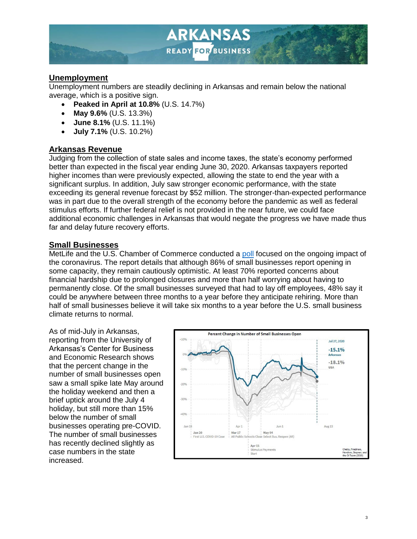

#### **Unemployment**

Unemployment numbers are steadily declining in Arkansas and remain below the national average, which is a positive sign.

- **Peaked in April at 10.8%** (U.S. 14.7%)
- **May 9.6%** (U.S. 13.3%)
- **June 8.1%** (U.S. 11.1%)
- **July 7.1%** (U.S. 10.2%)

#### **Arkansas Revenue**

Judging from the collection of state sales and income taxes, the state's economy performed better than expected in the fiscal year ending June 30, 2020. Arkansas taxpayers reported higher incomes than were previously expected, allowing the state to end the year with a significant surplus. In addition, July saw stronger economic performance, with the state exceeding its general revenue forecast by \$52 million. The stronger-than-expected performance was in part due to the overall strength of the economy before the pandemic as well as federal stimulus efforts. If further federal relief is not provided in the near future, we could face additional economic challenges in Arkansas that would negate the progress we have made thus far and delay future recovery efforts.

#### **Small Businesses**

MetLife and the U.S. Chamber of Commerce conducted a [poll](https://www.uschamber.com/sites/default/files/metlife_uscc_sbi_coronavirus_impact_poll_july.pdf) focused on the ongoing impact of the coronavirus. The report details that although 86% of small businesses report opening in some capacity, they remain cautiously optimistic. At least 70% reported concerns about financial hardship due to prolonged closures and more than half worrying about having to permanently close. Of the small businesses surveyed that had to lay off employees, 48% say it could be anywhere between three months to a year before they anticipate rehiring. More than half of small businesses believe it will take six months to a year before the U.S. small business climate returns to normal.

As of mid-July in Arkansas, reporting from the University of Arkansas's Center for Business and Economic Research shows that the percent change in the number of small businesses open saw a small spike late May around the holiday weekend and then a brief uptick around the July 4 holiday, but still more than 15% below the number of small businesses operating pre-COVID. The number of small businesses has recently declined slightly as case numbers in the state increased.

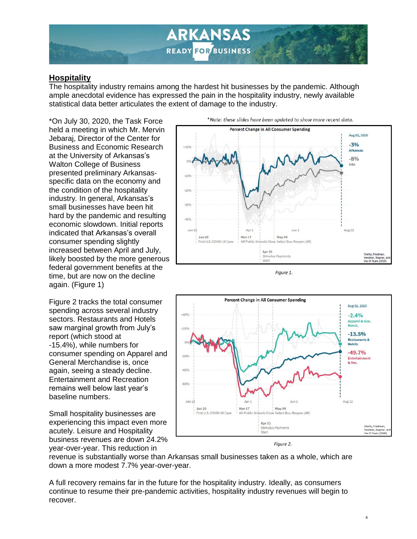

#### **Hospitality**

The hospitality industry remains among the hardest hit businesses by the pandemic. Although ample anecdotal evidence has expressed the pain in the hospitality industry, newly available statistical data better articulates the extent of damage to the industry.

\*On July 30, 2020, the Task Force held a meeting in which Mr. Mervin Jebaraj, Director of the Center for Business and Economic Research at the University of Arkansas's Walton College of Business presented preliminary Arkansasspecific data on the economy and the condition of the hospitality industry*.* In general, Arkansas's small businesses have been hit hard by the pandemic and resulting economic slowdown. Initial reports indicated that Arkansas's overall consumer spending slightly increased between April and July, likely boosted by the more generous federal government benefits at the time, but are now on the decline again. (Figure 1)

Figure 2 tracks the total consumer spending across several industry sectors. Restaurants and Hotels saw marginal growth from July's report (which stood at -15.4%), while numbers for consumer spending on Apparel and General Merchandise is, once again, seeing a steady decline. Entertainment and Recreation remains well below last year's baseline numbers.

Small hospitality businesses are experiencing this impact even more acutely. Leisure and Hospitality business revenues are down 24.2% year-over-year. This reduction in



Figure 1.



Figure 2.

revenue is substantially worse than Arkansas small businesses taken as a whole, which are down a more modest 7.7% year-over-year.

A full recovery remains far in the future for the hospitality industry. Ideally, as consumers continue to resume their pre-pandemic activities, hospitality industry revenues will begin to recover.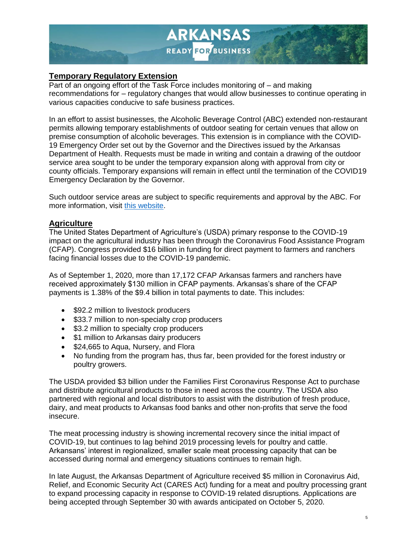

#### **Temporary Regulatory Extension**

Part of an ongoing effort of the Task Force includes monitoring of – and making recommendations for – regulatory changes that would allow businesses to continue operating in various capacities conducive to safe business practices.

In an effort to assist businesses, the Alcoholic Beverage Control (ABC) extended non-restaurant permits allowing temporary establishments of outdoor seating for certain venues that allow on premise consumption of alcoholic beverages. This extension is in compliance with the COVID-19 Emergency Order set out by the Governor and the Directives issued by the Arkansas Department of Health. Requests must be made in writing and contain a drawing of the outdoor service area sought to be under the temporary expansion along with approval from city or county officials. Temporary expansions will remain in effect until the termination of the COVID19 Emergency Declaration by the Governor.

Such outdoor service areas are subject to specific requirements and approval by the ABC. For more information, visit [this website.](https://www.dfa.arkansas.gov/news/details/on-premise-non-restaurant-permits-temporary-expansions-for-outdoor-seating)

#### **Agriculture**

The United States Department of Agriculture's (USDA) primary response to the COVID-19 impact on the agricultural industry has been through the Coronavirus Food Assistance Program (CFAP). Congress provided \$16 billion in funding for direct payment to farmers and ranchers facing financial losses due to the COVID-19 pandemic.

As of September 1, 2020, more than 17,172 CFAP Arkansas farmers and ranchers have received approximately \$130 million in CFAP payments. Arkansas's share of the CFAP payments is 1.38% of the \$9.4 billion in total payments to date. This includes:

- \$92.2 million to livestock producers
- \$33.7 million to non-specialty crop producers
- \$3.2 million to specialty crop producers
- \$1 million to Arkansas dairy producers
- \$24,665 to Aqua, Nursery, and Flora
- No funding from the program has, thus far, been provided for the forest industry or poultry growers.

The USDA provided \$3 billion under the Families First Coronavirus Response Act to purchase and distribute agricultural products to those in need across the country. The USDA also partnered with regional and local distributors to assist with the distribution of fresh produce, dairy, and meat products to Arkansas food banks and other non-profits that serve the food insecure.

The meat processing industry is showing incremental recovery since the initial impact of COVID-19, but continues to lag behind 2019 processing levels for poultry and cattle. Arkansans' interest in regionalized, smaller scale meat processing capacity that can be accessed during normal and emergency situations continues to remain high.

In late August, the Arkansas Department of Agriculture received \$5 million in Coronavirus Aid, Relief, and Economic Security Act (CARES Act) funding for a meat and poultry processing grant to expand processing capacity in response to COVID-19 related disruptions. Applications are being accepted through September 30 with awards anticipated on October 5, 2020.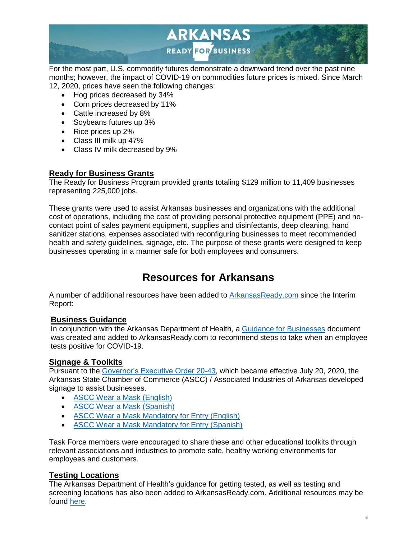

For the most part, U.S. commodity futures demonstrate a downward trend over the past nine months; however, the impact of COVID-19 on commodities future prices is mixed. Since March 12, 2020, prices have seen the following changes:

- Hog prices decreased by 34%
- Corn prices decreased by 11%
- Cattle increased by 8%
- Soybeans futures up 3%
- Rice prices up 2%
- Class III milk up 47%
- Class IV milk decreased by 9%

#### **Ready for Business Grants**

The Ready for Business Program provided grants totaling \$129 million to 11,409 businesses representing 225,000 jobs.

These grants were used to assist Arkansas businesses and organizations with the additional cost of operations, including the cost of providing personal protective equipment (PPE) and nocontact point of sales payment equipment, supplies and disinfectants, deep cleaning, hand sanitizer stations, expenses associated with reconfiguring businesses to meet recommended health and safety guidelines, signage, etc. The purpose of these grants were designed to keep businesses operating in a manner safe for both employees and consumers.

## **Resources for Arkansans**

A number of additional resources have been added to [ArkansasReady.com](https://arkansasready.com/) since the Interim Report:

#### **Business Guidance**

In conjunction with the Arkansas Department of Health, a [Guidance for Businesses](https://arkansasready.com/site/assets/files/1765/covid-19_steps_for_business_with_a_positive_employee_7_27_20.pdf) document was created and added to ArkansasReady.com to recommend steps to take when an employee tests positive for COVID-19.

#### **Signage & Toolkits**

Pursuant to the [Governor's Executive Order 20-43,](https://governor.arkansas.gov/images/uploads/executiveOrders/EO_20-43.pdf) which became effective July 20, 2020, the Arkansas State Chamber of Commerce (ASCC) / Associated Industries of Arkansas developed signage to assist businesses.

- [ASCC Wear a Mask \(English\)](https://files.constantcontact.com/bd895b5c001/aeb49d46-5db9-4ecd-b95d-edac967d2373.pdf)
- [ASCC Wear a Mask \(Spanish\)](https://files.constantcontact.com/bd895b5c001/79c5dde6-549c-4d94-b692-b82d22ff57cc.pdf)
- [ASCC Wear a Mask Mandatory for Entry \(English\)](https://files.constantcontact.com/bd895b5c001/f514a17e-1036-4277-9eab-890a98f8775f.pdf)
- [ASCC Wear a Mask Mandatory for Entry \(Spanish\)](https://www.arkansasstatechamber.com/wp-content/uploads/2020/07/WearAMaskSign_MandatoryForEntry_Spanish_7_27_2020Draft_Outlines.pdf)

Task Force members were encouraged to share these and other educational toolkits through relevant associations and industries to promote safe, healthy working environments for employees and customers.

#### **Testing Locations**

The Arkansas Department of Health's guidance for getting tested, as well as testing and screening locations has also been added to ArkansasReady.com. Additional resources may be found [here.](https://www.healthy.arkansas.gov/programs-services/topics/covid-19-guidance-for-getting-tested)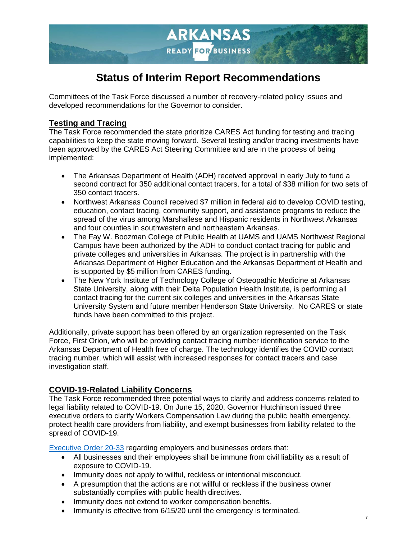

## **Status of Interim Report Recommendations**

Committees of the Task Force discussed a number of recovery-related policy issues and developed recommendations for the Governor to consider.

#### **Testing and Tracing**

The Task Force recommended the state prioritize CARES Act funding for testing and tracing capabilities to keep the state moving forward. Several testing and/or tracing investments have been approved by the CARES Act Steering Committee and are in the process of being implemented:

- The Arkansas Department of Health (ADH) received approval in early July to fund a second contract for 350 additional contact tracers, for a total of \$38 million for two sets of 350 contact tracers.
- Northwest Arkansas Council received \$7 million in federal aid to develop COVID testing, education, contact tracing, community support, and assistance programs to reduce the spread of the virus among Marshallese and Hispanic residents in Northwest Arkansas and four counties in southwestern and northeastern Arkansas.
- The Fay W. Boozman College of Public Health at UAMS and UAMS Northwest Regional Campus have been authorized by the ADH to conduct contact tracing for public and private colleges and universities in Arkansas. The project is in partnership with the Arkansas Department of Higher Education and the Arkansas Department of Health and is supported by \$5 million from CARES funding.
- The New York Institute of Technology College of Osteopathic Medicine at Arkansas State University, along with their Delta Population Health Institute, is performing all contact tracing for the current six colleges and universities in the Arkansas State University System and future member Henderson State University. No CARES or state funds have been committed to this project.

Additionally, private support has been offered by an organization represented on the Task Force, First Orion, who will be providing contact tracing number identification service to the Arkansas Department of Health free of charge. The technology identifies the COVID contact tracing number, which will assist with increased responses for contact tracers and case investigation staff.

#### **COVID-19-Related Liability Concerns**

The Task Force recommended three potential ways to clarify and address concerns related to legal liability related to COVID-19. On June 15, 2020, Governor Hutchinson issued three executive orders to clarify Workers Compensation Law during the public health emergency, protect health care providers from liability, and exempt businesses from liability related to the spread of COVID-19.

[Executive Order 20-33](https://governor.arkansas.gov/images/uploads/executiveOrders/EO_20-33.pdf) regarding employers and businesses orders that:

- All businesses and their employees shall be immune from civil liability as a result of exposure to COVID-19.
- Immunity does not apply to willful, reckless or intentional misconduct.
- A presumption that the actions are not willful or reckless if the business owner substantially complies with public health directives.
- Immunity does not extend to worker compensation benefits.
- Immunity is effective from 6/15/20 until the emergency is terminated.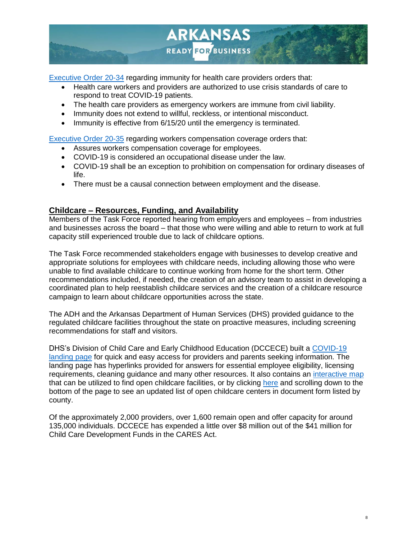

[Executive Order 20-34](https://governor.arkansas.gov/images/uploads/executiveOrders/EO_20-34.pdf) regarding immunity for health care providers orders that:

- Health care workers and providers are authorized to use crisis standards of care to respond to treat COVID-19 patients.
- The health care providers as emergency workers are immune from civil liability.
- Immunity does not extend to willful, reckless, or intentional misconduct.
- Immunity is effective from 6/15/20 until the emergency is terminated.

[Executive Order 20-35](https://governor.arkansas.gov/images/uploads/executiveOrders/EO_20-35.pdf) regarding workers compensation coverage orders that:

- Assures workers compensation coverage for employees.
- COVID-19 is considered an occupational disease under the law.
- COVID-19 shall be an exception to prohibition on compensation for ordinary diseases of life.
- There must be a causal connection between employment and the disease.

#### **Childcare – Resources, Funding, and Availability**

Members of the Task Force reported hearing from employers and employees – from industries and businesses across the board – that those who were willing and able to return to work at full capacity still experienced trouble due to lack of childcare options.

The Task Force recommended stakeholders engage with businesses to develop creative and appropriate solutions for employees with childcare needs, including allowing those who were unable to find available childcare to continue working from home for the short term. Other recommendations included, if needed, the creation of an advisory team to assist in developing a coordinated plan to help reestablish childcare services and the creation of a childcare resource campaign to learn about childcare opportunities across the state.

The ADH and the Arkansas Department of Human Services (DHS) provided guidance to the regulated childcare facilities throughout the state on proactive measures, including screening recommendations for staff and visitors.

DHS's Division of Child Care and Early Childhood Education (DCCECE) built a [COVID-19](https://humanservices.arkansas.gov/about-dhs/dccece)  [landing page](https://humanservices.arkansas.gov/about-dhs/dccece) for quick and easy access for providers and parents seeking information. The landing page has hyperlinks provided for answers for essential employee eligibility, licensing requirements, cleaning guidance and many other resources. It also contains an [interactive map](https://www.google.com/maps/d/viewer?mid=1kzRz9bL26B5YHrSXMiGiFjTPIqvSCGaH&ll=34.77426933082368%2C-92.22365904999998&z=7) that can be utilized to find open childcare facilities, or by clicking [here](https://humanservices.arkansas.gov/resources/response-covid-19/response-covid-19-client) and scrolling down to the bottom of the page to see an updated list of open childcare centers in document form listed by county.

Of the approximately 2,000 providers, over 1,600 remain open and offer capacity for around 135,000 individuals. DCCECE has expended a little over \$8 million out of the \$41 million for Child Care Development Funds in the CARES Act.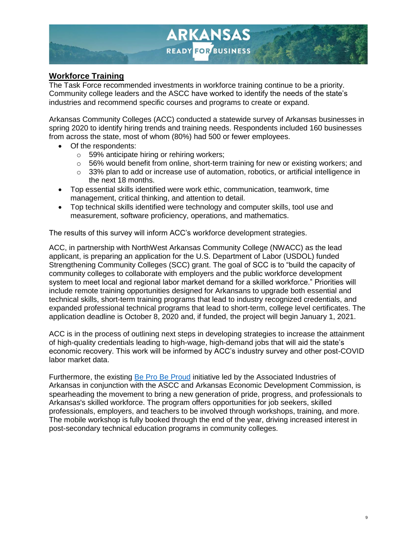

#### **Workforce Training**

The Task Force recommended investments in workforce training continue to be a priority. Community college leaders and the ASCC have worked to identify the needs of the state's industries and recommend specific courses and programs to create or expand.

Arkansas Community Colleges (ACC) conducted a statewide survey of Arkansas businesses in spring 2020 to identify hiring trends and training needs. Respondents included 160 businesses from across the state, most of whom (80%) had 500 or fewer employees.

- Of the respondents:
	- o 59% anticipate hiring or rehiring workers;
	- o 56% would benefit from online, short-term training for new or existing workers; and
	- $\circ$  33% plan to add or increase use of automation, robotics, or artificial intelligence in the next 18 months.
- Top essential skills identified were work ethic, communication, teamwork, time management, critical thinking, and attention to detail.
- Top technical skills identified were technology and computer skills, tool use and measurement, software proficiency, operations, and mathematics.

The results of this survey will inform ACC's workforce development strategies.

ACC, in partnership with NorthWest Arkansas Community College (NWACC) as the lead applicant, is preparing an application for the U.S. Department of Labor (USDOL) funded Strengthening Community Colleges (SCC) grant. The goal of SCC is to "build the capacity of community colleges to collaborate with employers and the public workforce development system to meet local and regional labor market demand for a skilled workforce." Priorities will include remote training opportunities designed for Arkansans to upgrade both essential and technical skills, short-term training programs that lead to industry recognized credentials, and expanded professional technical programs that lead to short-term, college level certificates. The application deadline is October 8, 2020 and, if funded, the project will begin January 1, 2021.

ACC is in the process of outlining next steps in developing strategies to increase the attainment of high-quality credentials leading to high-wage, high-demand jobs that will aid the state's economic recovery. This work will be informed by ACC's industry survey and other post-COVID labor market data.

Furthermore, the existing [Be Pro Be Proud](https://www.beprobeproud.org/) initiative led by the Associated Industries of Arkansas in conjunction with the ASCC and Arkansas Economic Development Commission, is spearheading the movement to bring a new generation of pride, progress, and professionals to Arkansas's skilled workforce. The program offers opportunities for job seekers, skilled professionals, employers, and teachers to be involved through workshops, training, and more. The mobile workshop is fully booked through the end of the year, driving increased interest in post-secondary technical education programs in community colleges.